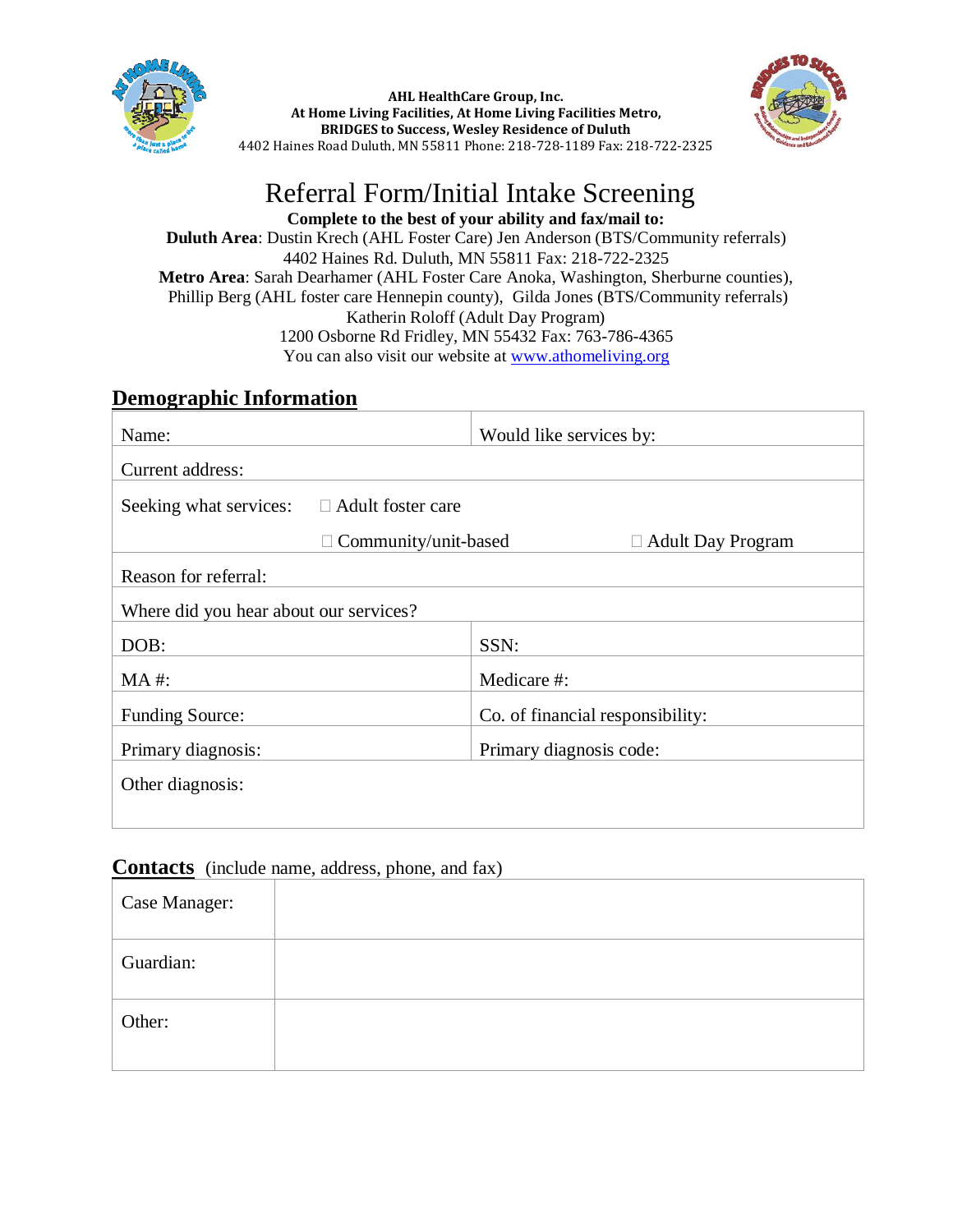

**AHL HealthCare Group, Inc. At Home Living Facilities, At Home Living Facilities Metro, BRIDGES to Success, Wesley Residence of Duluth** 4402 Haines Road Duluth, MN 55811 Phone: 218-728-1189 Fax: 218-722-2325



## Referral Form/Initial Intake Screening

**Complete to the best of your ability and fax/mail to: Duluth Area**: Dustin Krech (AHL Foster Care) Jen Anderson (BTS/Community referrals) 4402 Haines Rd. Duluth, MN 55811 Fax: 218-722-2325 **Metro Area**: Sarah Dearhamer (AHL Foster Care Anoka, Washington, Sherburne counties), Phillip Berg (AHL foster care Hennepin county), Gilda Jones (BTS/Community referrals) Katherin Roloff (Adult Day Program) 1200 Osborne Rd Fridley, MN 55432 Fax: 763-786-4365 You can also visit our website at [www.athomeliving.org](http://www.athomeliving.org/)

## **Demographic Information**

| Name:                                              | Would like services by:          |  |
|----------------------------------------------------|----------------------------------|--|
| Current address:                                   |                                  |  |
| $\Box$ Adult foster care<br>Seeking what services: |                                  |  |
| $\Box$ Community/unit-based                        | $\Box$ Adult Day Program         |  |
| Reason for referral:                               |                                  |  |
| Where did you hear about our services?             |                                  |  |
| DOB:                                               | SSN:                             |  |
| $MA$ #:                                            | Medicare #:                      |  |
| <b>Funding Source:</b>                             | Co. of financial responsibility: |  |
| Primary diagnosis:                                 | Primary diagnosis code:          |  |
| Other diagnosis:                                   |                                  |  |
|                                                    |                                  |  |

## **Contacts** (include name, address, phone, and fax)

| Case Manager: |  |
|---------------|--|
| Guardian:     |  |
| Other:        |  |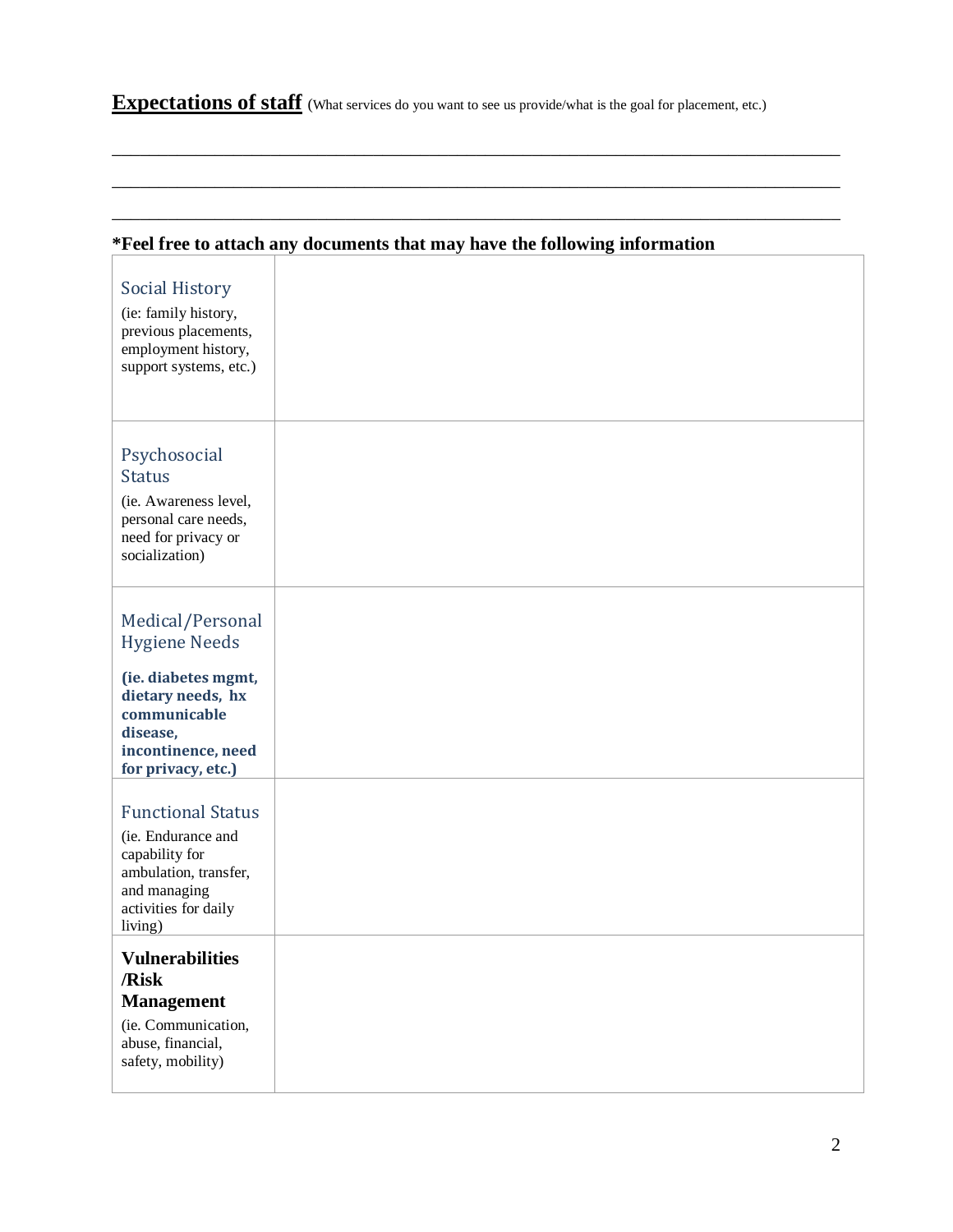**Expectations of staff** (What services do you want to see us provide/what is the goal for placement, etc.)

\_\_\_\_\_\_\_\_\_\_\_\_\_\_\_\_\_\_\_\_\_\_\_\_\_\_\_\_\_\_\_\_\_\_\_\_\_\_\_\_\_\_\_\_\_\_\_\_\_\_\_\_\_\_\_\_\_\_\_\_\_\_\_\_\_\_\_\_\_\_\_\_\_\_\_\_\_\_

\_\_\_\_\_\_\_\_\_\_\_\_\_\_\_\_\_\_\_\_\_\_\_\_\_\_\_\_\_\_\_\_\_\_\_\_\_\_\_\_\_\_\_\_\_\_\_\_\_\_\_\_\_\_\_\_\_\_\_\_\_\_\_\_\_\_\_\_\_\_\_\_\_\_\_\_\_\_

\_\_\_\_\_\_\_\_\_\_\_\_\_\_\_\_\_\_\_\_\_\_\_\_\_\_\_\_\_\_\_\_\_\_\_\_\_\_\_\_\_\_\_\_\_\_\_\_\_\_\_\_\_\_\_\_\_\_\_\_\_\_\_\_\_\_\_\_\_\_\_\_\_\_\_\_\_\_

| *Feel free to attach any documents that may have the following information                                                                                   |  |  |
|--------------------------------------------------------------------------------------------------------------------------------------------------------------|--|--|
| <b>Social History</b><br>(ie: family history,<br>previous placements,<br>employment history,<br>support systems, etc.)                                       |  |  |
| Psychosocial<br><b>Status</b><br>(ie. Awareness level,<br>personal care needs,<br>need for privacy or<br>socialization)                                      |  |  |
| Medical/Personal<br><b>Hygiene Needs</b><br>(ie. diabetes mgmt,<br>dietary needs, hx<br>communicable<br>disease,<br>incontinence, need<br>for privacy, etc.) |  |  |
| <b>Functional Status</b><br>(ie. Endurance and<br>capability for<br>ambulation, transfer,<br>and managing<br>activities for daily<br>living)                 |  |  |
| <b>Vulnerabilities</b><br>/Risk<br><b>Management</b><br>(ie. Communication,<br>abuse, financial,<br>safety, mobility)                                        |  |  |